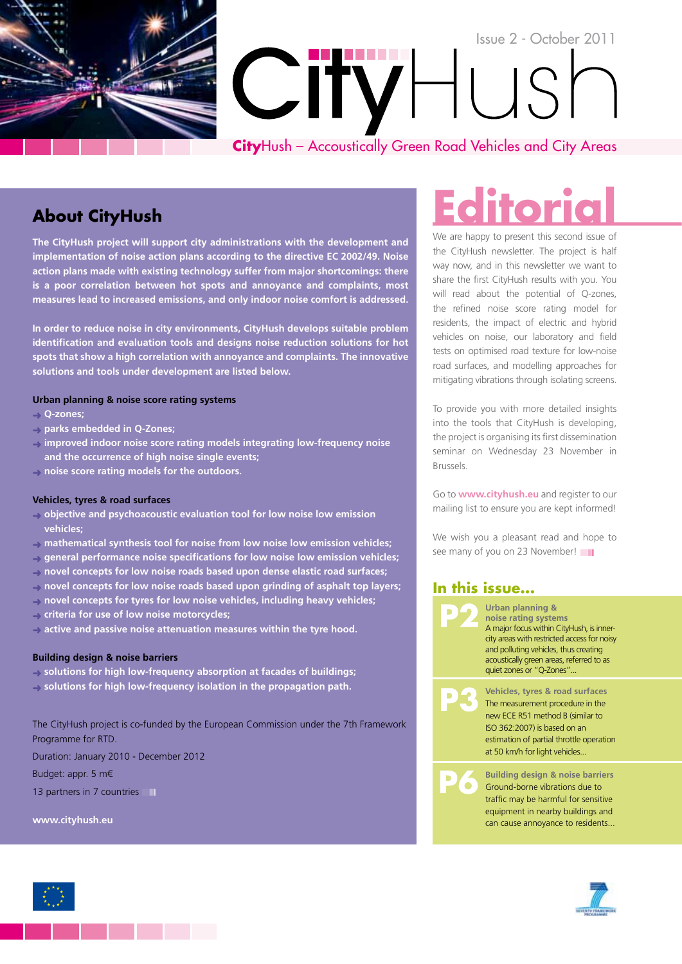

### **About CityHush**

**The CityHush project will support city administrations with the development and implementation of noise action plans according to the directive EC 2002/49. Noise action plans made with existing technology suffer from major shortcomings: there is a poor correlation between hot spots and annoyance and complaints, most measures lead to increased emissions, and only indoor noise comfort is addressed.**

**In order to reduce noise in city environments, CityHush develops suitable problem identification and evaluation tools and designs noise reduction solutions for hot spots that show a high correlation with annoyance and complaints. The innovative solutions and tools under development are listed below.**

#### **Urban planning & noise score rating systems**

- ➜ **Q-zones;**
- ➜ **parks embedded in Q-Zones;**
- ➜ **improved indoor noise score rating models integrating low-frequency noise and the occurrence of high noise single events;**
- ➜ **noise score rating models for the outdoors.**

#### **Vehicles, tyres & road surfaces**

- ➜ **objective and psychoacoustic evaluation tool for low noise low emission vehicles;**
- ➜ **mathematical synthesis tool for noise from low noise low emission vehicles;**
- ➜ **general performance noise specifications for low noise low emission vehicles;**
- ➜ **novel concepts for low noise roads based upon dense elastic road surfaces;**
- ➜ **novel concepts for low noise roads based upon grinding of asphalt top layers;**
- ➜ **novel concepts for tyres for low noise vehicles, including heavy vehicles;**
- ➜ **criteria for use of low noise motorcycles;**
- ➜ **active and passive noise attenuation measures within the tyre hood.**

#### **Building design & noise barriers**

➜ **solutions for high low-frequency absorption at facades of buildings;** ➜ **solutions for high low-frequency isolation in the propagation path.**

The CityHush project is co-funded by the European Commission under the 7th Framework Programme for RTD.

Duration: January 2010 - December 2012

Budget: appr. 5 m€

13 partners in 7 countries

**www.cityhush.eu**

# **Editori**

We are happy to present this second issue of the CityHush newsletter. The project is half way now, and in this newsletter we want to share the first CityHush results with you. You will read about the potential of Q-zones, the refined noise score rating model for residents, the impact of electric and hybrid vehicles on noise, our laboratory and field tests on optimised road texture for low-noise road surfaces, and modelling approaches for mitigating vibrations through isolating screens.

To provide you with more detailed insights into the tools that CityHush is developing, the project is organising its first dissemination seminar on Wednesday 23 November in Brussels.

Go to **www.cityhush.eu** and register to our mailing list to ensure you are kept informed!

We wish you a pleasant read and hope to see many of you on 23 November!

#### **In this issue...**





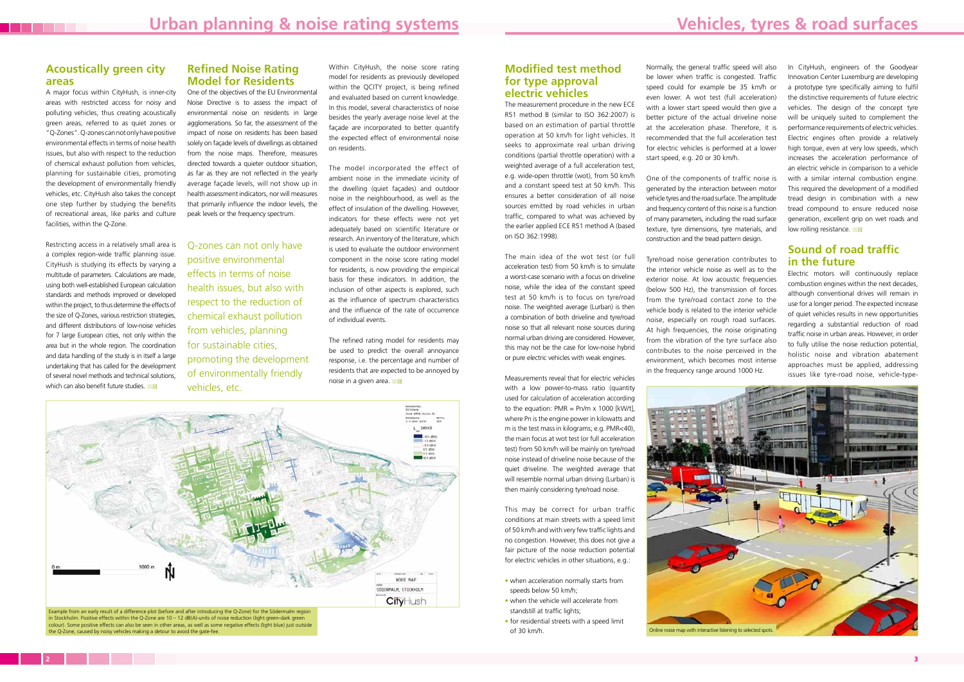Normally, the general traffic speed will also be lower when traffic is congested. Traffic speed could for example be 35 km/h or even lower. A wot test (full acceleration) with a lower start speed would then give a better picture of the actual driveline noise at the acceleration phase. Therefore, it is recommended that the full acceleration test for electric vehicles is performed at a lower start speed, e.g. 20 or 30 km/h.

One of the components of traffic noise is generated by the interaction between motor vehicle tyres and the road surface. The amplitude and frequency content of this noise is a function of many parameters, including the road surface texture, tyre dimensions, tyre materials, and construction and the tread pattern design.

In CityHush, engineers of the Goodyear Innovation Center Luxemburg are developing a prototype tyre specifically aiming to fulfil the distinctive requirements of future electric vehicles. The design of the concept tyre will be uniquely suited to complement the performance requirements of electric vehicles. Electric engines often provide a relatively high torque, even at very low speeds, which increases the acceleration performance of an electric vehicle in comparison to a vehicle with a similar internal combustion engine. This required the development of a modified tread design in combination with a new tread compound to ensure reduced noise generation, excellent grip on wet roads and low rolling resistance.

Tyre/road noise generation contributes to the interior vehicle noise as well as to the exterior noise. At low acoustic frequencies (below 500 Hz), the transmission of forces from the tyre/road contact zone to the vehicle body is related to the interior vehicle noise, especially on rough road surfaces. At high frequencies, the noise originating from the vibration of the tyre surface also contributes to the noise perceived in the environment, which becomes most intense in the frequency range around 1000 Hz.

Restricting access in a relatively small area is a complex region-wide traffic planning issue. CityHush is studying its effects by varying a multitude of parameters. Calculations are made, using both well-established European calculation standards and methods improved or developed within the project, to thus determine the effects of the size of Q-Zones, various restriction strategies, and different distributions of low-noise vehicles for 7 large European cities, not only within the area but in the whole region. The coordination and data handling of the study is in itself a large undertaking that has called for the development of several novel methods and technical solutions, which can also benefit future studies.

#### **Sound of road traffic in the future**

Electric motors will continuously replace combustion engines within the next decades, although conventional drives will remain in use for a longer period. The expected increase of quiet vehicles results in new opportunities regarding a substantial reduction of road traffic noise in urban areas. However, in order to fully utilise the noise reduction potential, holistic noise and vibration abatement approaches must be applied, addressing issues like tyre-road noise, vehicle-type-



#### **Acoustically green city areas**

The refined rating model for residents may be used to predict the overall annoyance response, i.e. the percentage and number of residents that are expected to be annoyed by noise in a given area.

A major focus within CityHush, is inner-city areas with restricted access for noisy and polluting vehicles, thus creating acoustically green areas, referred to as quiet zones or "Q-Zones". Q-zones can not only have positive environmental effects in terms of noise health issues, but also with respect to the reduction of chemical exhaust pollution from vehicles, planning for sustainable cities, promoting the development of environmentally friendly vehicles, etc. CityHush also takes the concept one step further by studying the benefits of recreational areas, like parks and culture facilities, within the Q-Zone.

#### **Refined Noise Rating Model for Residents**

in Stockholm. Positive effects within the Q-Zone are 10 – 12 dB(A)-units of noise reduction (light green-dark green colour). Some positive effects can also be seen in other areas, as well as some negative effects (light blue) just outside the Q-Zone, caused by noisy vehicles making a detour to avoid the gate-fee.

One of the objectives of the EU Environmental Noise Directive is to assess the impact of environmental noise on residents in large agglomerations. So far, the assessment of the impact of noise on residents has been based solely on façade levels of dwellings as obtained from the noise maps. Therefore, measures directed towards a quieter outdoor situation, as far as they are not reflected in the yearly average façade levels, will not show up in health assessment indicators, nor will measures that primarily influence the indoor levels, the peak levels or the frequency spectrum.

Within CityHush, the noise score rating model for residents as previously developed within the QCITY project, is being refined and evaluated based on current knowledge. In this model, several characteristics of noise besides the yearly average noise level at the façade are incorporated to better quantify the expected effect of environmental noise on residents.

The model incorporated the effect of ambient noise in the immediate vicinity of the dwelling (quiet façades) and outdoor noise in the neighbourhood, as well as the effect of insulation of the dwelling. However, indicators for these effects were not yet adequately based on scientific literature or research. An inventory of the literature, which is used to evaluate the outdoor environment component in the noise score rating model for residents, is now providing the empirical basis for these indicators. In addition, the inclusion of other aspects is explored, such as the influence of spectrum characteristics and the influence of the rate of occurrence of individual events.

#### **Modified test method for type approval electric vehicles**

The measurement procedure in the new ECE R51 method B (similar to ISO 362:2007) is based on an estimation of partial throttle operation at 50 km/h for light vehicles. It seeks to approximate real urban driving conditions (partial throttle operation) with a weighted average of a full acceleration test, e.g. wide-open throttle (wot), from 50 km/h and a constant speed test at 50 km/h. This ensures a better consideration of all noise sources emitted by road vehicles in urban traffic, compared to what was achieved by the earlier applied ECE R51 method A (based on ISO 362:1998).

The main idea of the wot test (or full acceleration test) from 50 km/h is to simulate a worst-case scenario with a focus on driveline noise, while the idea of the constant speed test at 50 km/h is to focus on tyre/road noise. The weighted average (Lurban) is then a combination of both driveline and tyre/road noise so that all relevant noise sources during normal urban driving are considered. However, this may not be the case for low-noise hybrid or pure electric vehicles with weak engines.

Measurements reveal that for electric vehicles with a low power-to-mass ratio (quantity used for calculation of acceleration according to the equation:  $PMR = Pn/m \times 1000$  [kW/t], where Pn is the engine power in kilowatts and m is the test mass in kilograms; e.g. PMR<40), the main focus at wot test (or full acceleration test) from 50 km/h will be mainly on tyre/road noise instead of driveline noise because of the quiet driveline. The weighted average that will resemble normal urban driving (Lurban) is then mainly considering tyre/road noise.

This may be correct for urban traffic conditions at main streets with a speed limit of 50 km/h and with very few traffic lights and no congestion. However, this does not give a fair picture of the noise reduction potential for electric vehicles in other situations, e.g.:

- when acceleration normally starts from speeds below 50 km/h;
- when the vehicle will accelerate from standstill at traffic lights;
- for residential streets with a speed limit of 30 km/h.



Q-zones can not only have positive environmental effects in terms of noise health issues, but also with respect to the reduction of chemical exhaust pollution from vehicles, planning for sustainable cities, promoting the development of environmentally friendly vehicles, etc.

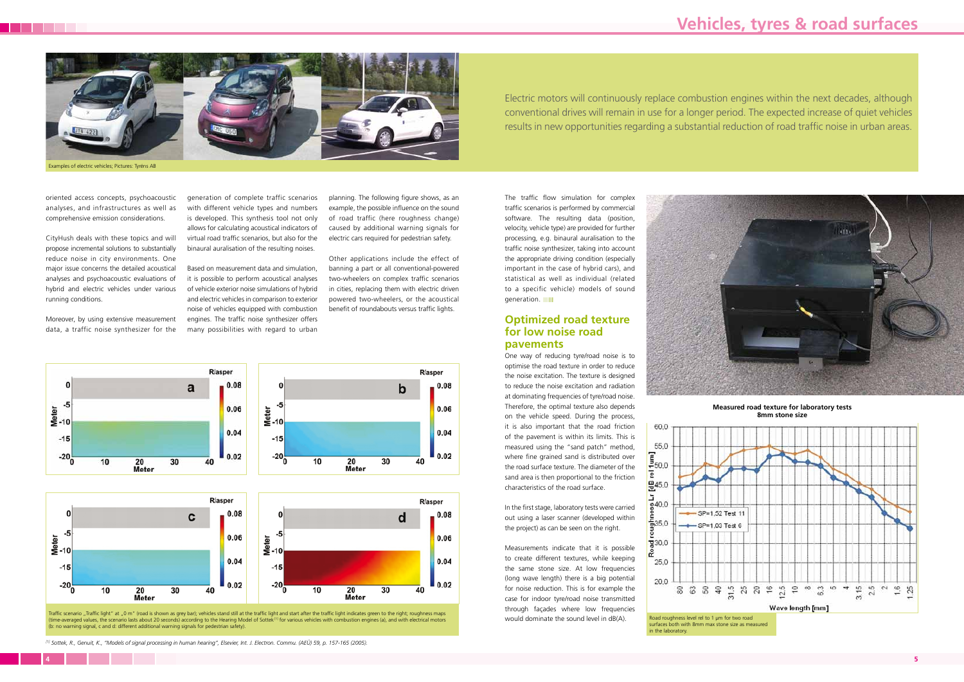Traffic scenario "Traffic light" at "0 m" (road is shown as grey bar); vehicles stand still at the traffic light and start after the traffic light indicates green to the right; roughness maps (time-averaged values, the scenario lasts about 20 seconds) according to the Hearing Model of Sottek [1] for various vehicles with combustion engines (a), and with electrical motors (b: no warning signal, c and d: different additional warning signals for pedestrian safety).



surfaces both with 8mm max stone size as measured in the laboratory.

ē

**Measured road texture for laboratory tests 8mm stone size**

oriented access concepts, psychoacoustic analyses, and infrastructures as well as comprehensive emission considerations.

CityHush deals with these topics and will propose incremental solutions to substantially reduce noise in city environments. One major issue concerns the detailed acoustical analyses and psychoacoustic evaluations of hybrid and electric vehicles under various running conditions.

Moreover, by using extensive measurement data, a traffic noise synthesizer for the

The traffic flow simulation for complex traffic scenarios is performed by commercial software. The resulting data (position, velocity, vehicle type) are provided for further processing, e.g. binaural auralisation to the traffic noise synthesizer, taking into account the appropriate driving condition (especially important in the case of hybrid cars), and statistical as well as individual (related to a specific vehicle) models of sound generation. **■** 

generation of complete traffic scenarios with different vehicle types and numbers is developed. This synthesis tool not only allows for calculating acoustical indicators of virtual road traffic scenarios, but also for the binaural auralisation of the resulting noises.

Based on measurement data and simulation, it is possible to perform acoustical analyses of vehicle exterior noise simulations of hybrid and electric vehicles in comparison to exterior noise of vehicles equipped with combustion engines. The traffic noise synthesizer offers many possibilities with regard to urban

planning. The following figure shows, as an example, the possible influence on the sound of road traffic (here roughness change) caused by additional warning signals for electric cars required for pedestrian safety.

Other applications include the effect of banning a part or all conventional-powered two-wheelers on complex traffic scenarios in cities, replacing them with electric driven powered two-wheelers, or the acoustical benefit of roundabouts versus traffic lights.



 $0.04$  $0.04$  $-15$  $-15$  $-20$ <sub>0</sub>  $-20$ <sub>0</sub>  $\overline{0.02}$  $0.02$  $\overline{40}$ 30  $\overline{30}$ 10 20 40 20 Meter Meter

#### **Optimized road texture for low noise road pavements**

One way of reducing tyre/road noise is to optimise the road texture in order to reduce the noise excitation. The texture is designed to reduce the noise excitation and radiation at dominating frequencies of tyre/road noise. Therefore, the optimal texture also depends on the vehicle speed. During the process, it is also important that the road friction of the pavement is within its limits. This is measured using the "sand patch" method, where fine grained sand is distributed over the road surface texture. The diameter of the sand area is then proportional to the friction characteristics of the road surface.

In the first stage, laboratory tests were carried out using a laser scanner (developed within the project) as can be seen on the right.

Measurements indicate that it is possible to create different textures, while keeping the same stone size. At low frequencies (long wave length) there is a big potential for noise reduction. This is for example the case for indoor tyre/road noise transmitted through façades where low frequencies would dominate the sound level in dB(A).





Electric motors will continuously replace combustion engines within the next decades, although conventional drives will remain in use for a longer period. The expected increase of quiet vehicles results in new opportunities regarding a substantial reduction of road traffic noise in urban areas.

*[1] Sottek, R., Genuit, K., "Models of signal processing in human hearing", Elsevier, Int. J. Electron. Commu. (AEÜ) 59, p. 157-165 (2005).*

## **Vehicles, tyres & road surfaces**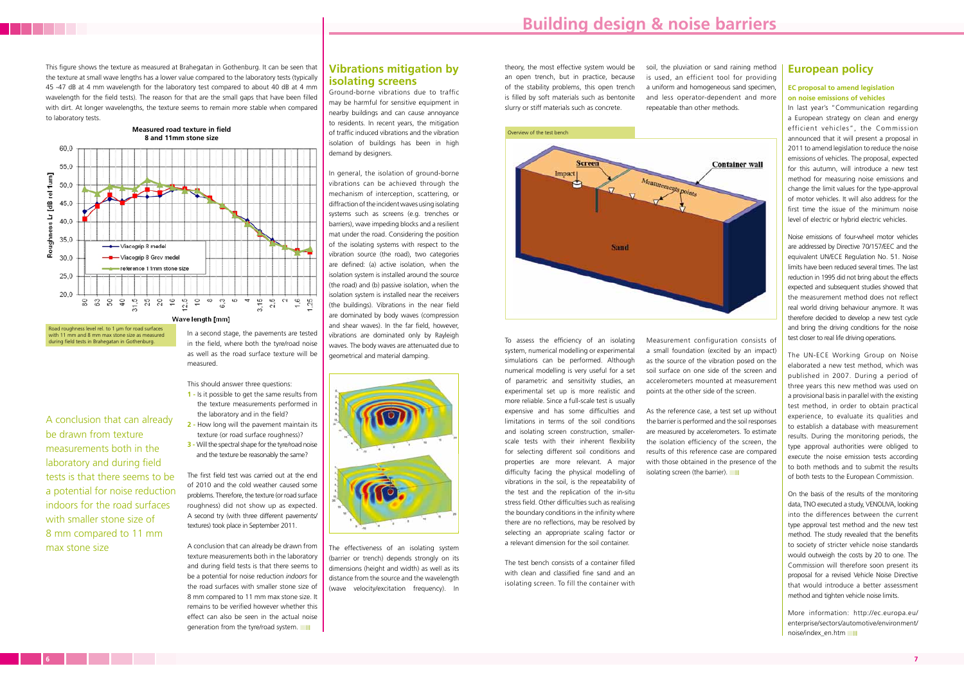#### **Vibrations mitigation by isolating screens**

Ground-borne vibrations due to traffic may be harmful for sensitive equipment in nearby buildings and can cause annoyance to residents. In recent years, the mitigation of traffic induced vibrations and the vibration isolation of buildings has been in high demand by designers.

In general, the isolation of ground-borne vibrations can be achieved through the mechanism of interception, scattering, or diffraction of the incident waves using isolating systems such as screens (e.g. trenches or barriers), wave impeding blocks and a resilient mat under the road. Considering the position of the isolating systems with respect to the vibration source (the road), two categories are defined: (a) active isolation, when the isolation system is installed around the source (the road) and (b) passive isolation, when the isolation system is installed near the receivers (the buildings). Vibrations in the near field are dominated by body waves (compression and shear waves). In the far field, however, vibrations are dominated only by Rayleigh waves. The body waves are attenuated due to geometrical and material damping.



The effectiveness of an isolating system (barrier or trench) depends strongly on its dimensions (height and width) as well as its distance from the source and the wavelength (wave velocity/excitation frequency). In

#### **European policy**

#### **EC proposal to amend legislation on noise emissions of vehicles**

In last year's "Communication regarding a European strategy on clean and energy efficient vehicles", the Commission announced that it will present a proposal in 2011 to amend legislation to reduce the noise emissions of vehicles. The proposal, expected for this autumn, will introduce a new test method for measuring noise emissions and change the limit values for the type-approval of motor vehicles. It will also address for the first time the issue of the minimum noise level of electric or hybrid electric vehicles.

More information: http://ec.europa.eu/ enterprise/sectors/automotive/environment/ noise/index\_en.htm

Noise emissions of four-wheel motor vehicles are addressed by Directive 70/157/EEC and the equivalent UN/ECE Regulation No. 51. Noise limits have been reduced several times. The last reduction in 1995 did not bring about the effects expected and subsequent studies showed that the measurement method does not reflect real world driving behaviour anymore. It was therefore decided to develop a new test cycle and bring the driving conditions for the noise test closer to real life driving operations.

As the reference case, a test set up without the barrier is performed and the soil responses are measured by accelerometers. To estimate the isolation efficiency of the screen, the results of this reference case are compared with those obtained in the presence of the isolating screen (the barrier).

The UN-ECE Working Group on Noise elaborated a new test method, which was published in 2007. During a period of three years this new method was used on a provisional basis in parallel with the existing test method, in order to obtain practical experience, to evaluate its qualities and to establish a database with measurement results. During the monitoring periods, the type approval authorities were obliged to execute the noise emission tests according to both methods and to submit the results of both tests to the European Commission.

On the basis of the results of the monitoring data, TNO executed a study, VENOLIVA, looking into the differences between the current type approval test method and the new test method. The study revealed that the benefits to society of stricter vehicle noise standards would outweigh the costs by 20 to one. The Commission will therefore soon present its proposal for a revised Vehicle Noise Directive that would introduce a better assessment method and tighten vehicle noise limits.

A conclusion that can already be drawn from texture measurements both in the laboratory and during field tests is that there seems to be a potential for noise reduction *indoors* for the road surfaces with smaller stone size of 8 mm compared to 11 mm max stone size. It remains to be verified however whether this effect can also be seen in the actual noise generation from the tyre/road system.

with 11 mm and 8 mm may stone size as measured during field tests in Brahegatan in Gothenburg.

theory, the most effective system would be an open trench, but in practice, because of the stability problems, this open trench is filled by soft materials such as bentonite slurry or stiff materials such as concrete.

To assess the efficiency of an isolating system, numerical modelling or experimental simulations can be performed. Although numerical modelling is very useful for a set of parametric and sensitivity studies, an experimental set up is more realistic and more reliable. Since a full-scale test is usually expensive and has some difficulties and limitations in terms of the soil conditions and isolating screen construction, smallerscale tests with their inherent flexibility for selecting different soil conditions and properties are more relevant. A major difficulty facing the physical modelling of vibrations in the soil, is the repeatability of the test and the replication of the in-situ stress field. Other difficulties such as realising the boundary conditions in the infinity where there are no reflections, may be resolved by selecting an appropriate scaling factor or a relevant dimension for the soil container.

The test bench consists of a container filled with clean and classified fine sand and an isolating screen. To fill the container with soil, the pluviation or sand raining method is used, an efficient tool for providing a uniform and homogeneous sand specimen, and less operator-dependent and more repeatable than other methods.

Measurement configuration consists of a small foundation (excited by an impact) as the source of the vibration posed on the soil surface on one side of the screen and accelerometers mounted at measurement points at the other side of the screen.

This figure shows the texture as measured at Brahegatan in Gothenburg. It can be seen that the texture at small wave lengths has a lower value compared to the laboratory tests (typically 45 -47 dB at 4 mm wavelength for the laboratory test compared to about 40 dB at 4 mm wavelength for the field tests). The reason for that are the small gaps that have been filled with dirt. At longer wavelengths, the texture seems to remain more stable when compared to laboratory tests.

#### In a second stage, the pavements are tested in the field, where both the tyre/road noise as well as the road surface texture will be measured.

- This should answer three questions:
- **1** Is it possible to get the same results from the texture measurements performed in the laboratory and in the field?
- **2** How long will the pavement maintain its texture (or road surface roughness)?
- **3** Will the spectral shape for the tyre/road noise and the texture be reasonably the same?

The first field test was carried out at the end of 2010 and the cold weather caused some problems. Therefore, the texture (or road surface roughness) did not show up as expected. A second try (with three different pavements/ textures) took place in September 2011.



A conclusion that can already be drawn from texture measurements both in the laboratory and during field tests is that there seems to be a potential for noise reduction indoors for the road surfaces with smaller stone size of 8 mm compared to 11 mm max stone size



### **Building design & noise barriers**